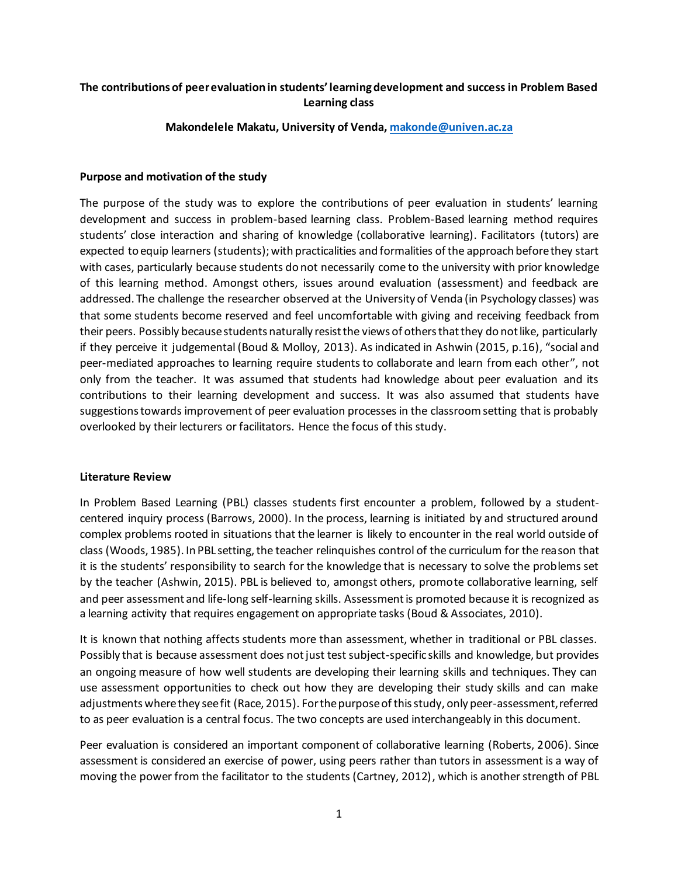# **The contributions of peer evaluation in students' learning development and success in Problem Based Learning class**

**Makondelele Makatu, University of Venda[, makonde@univen.ac.za](mailto:makonde@univen.ac.za)**

## **Purpose and motivation of the study**

The purpose of the study was to explore the contributions of peer evaluation in students' learning development and success in problem-based learning class. Problem-Based learning method requires students' close interaction and sharing of knowledge (collaborative learning). Facilitators (tutors) are expected to equip learners (students); with practicalities and formalities of the approach before they start with cases, particularly because students do not necessarily come to the university with prior knowledge of this learning method. Amongst others, issues around evaluation (assessment) and feedback are addressed. The challenge the researcher observed at the University of Venda (in Psychology classes) was that some students become reserved and feel uncomfortable with giving and receiving feedback from their peers. Possibly because students naturally resist the views of others that they do not like, particularly if they perceive it judgemental (Boud & Molloy, 2013). As indicated in Ashwin (2015, p.16), "social and peer-mediated approaches to learning require students to collaborate and learn from each other", not only from the teacher. It was assumed that students had knowledge about peer evaluation and its contributions to their learning development and success. It was also assumed that students have suggestions towards improvement of peer evaluation processes in the classroom setting that is probably overlooked by their lecturers or facilitators. Hence the focus of this study.

## **Literature Review**

In Problem Based Learning (PBL) classes students first encounter a problem, followed by a studentcentered inquiry process (Barrows, 2000). In the process, learning is initiated by and structured around complex problems rooted in situations that the learner is likely to encounter in the real world outside of class (Woods, 1985). In PBL setting, the teacher relinquishes control of the curriculum for the reason that it is the students' responsibility to search for the knowledge that is necessary to solve the problems set by the teacher (Ashwin, 2015). PBL is believed to, amongst others, promote collaborative learning, self and peer assessment and life-long self-learning skills. Assessment is promoted because it is recognized as a learning activity that requires engagement on appropriate tasks (Boud & Associates, 2010).

It is known that nothing affects students more than assessment, whether in traditional or PBL classes. Possibly that is because assessment does not just test subject-specific skills and knowledge, but provides an ongoing measure of how well students are developing their learning skills and techniques. They can use assessment opportunities to check out how they are developing their study skills and can make adjustments where they see fit (Race, 2015). For the purpose of this study, only peer-assessment, referred to as peer evaluation is a central focus. The two concepts are used interchangeably in this document.

Peer evaluation is considered an important component of collaborative learning (Roberts, 2006). Since assessment is considered an exercise of power, using peers rather than tutors in assessment is a way of moving the power from the facilitator to the students (Cartney, 2012), which is another strength of PBL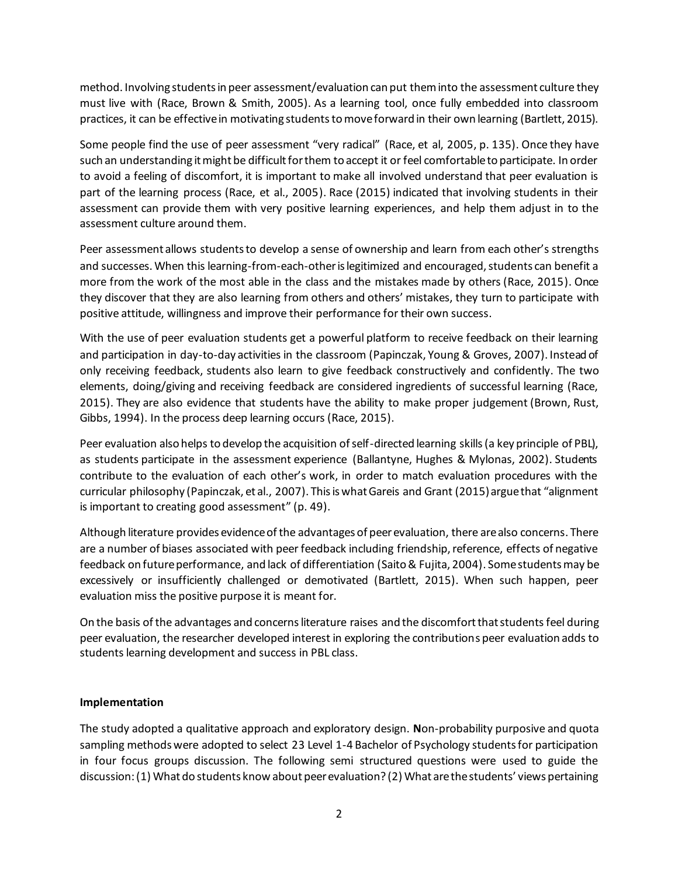method. Involving students in peer assessment/evaluation can put them into the assessment culture they must live with (Race, Brown & Smith, 2005). As a learning tool, once fully embedded into classroom practices, it can be effective in motivating students to move forward in their own learning (Bartlett, 2015).

Some people find the use of peer assessment "very radical" (Race, et al, 2005, p. 135). Once they have such an understanding it might be difficult for them to accept it or feel comfortable to participate. In order to avoid a feeling of discomfort, it is important to make all involved understand that peer evaluation is part of the learning process (Race, et al., 2005). Race (2015) indicated that involving students in their assessment can provide them with very positive learning experiences, and help them adjust in to the assessment culture around them.

Peer assessment allows students to develop a sense of ownership and learn from each other's strengths and successes. When this learning-from-each-other is legitimized and encouraged, students can benefit a more from the work of the most able in the class and the mistakes made by others (Race, 2015). Once they discover that they are also learning from others and others' mistakes, they turn to participate with positive attitude, willingness and improve their performance for their own success.

With the use of peer evaluation students get a powerful platform to receive feedback on their learning and participation in day-to-day activities in the classroom (Papinczak, Young & Groves, 2007). Instead of only receiving feedback, students also learn to give feedback constructively and confidently. The two elements, doing/giving and receiving feedback are considered ingredients of successful learning (Race, 2015). They are also evidence that students have the ability to make proper judgement (Brown, Rust, Gibbs, 1994). In the process deep learning occurs (Race, 2015).

Peer evaluation also helps to develop the acquisition of self-directed learning skills(a key principle of PBL), as students participate in the assessment experience (Ballantyne, Hughes & Mylonas, 2002). Students contribute to the evaluation of each other's work, in order to match evaluation procedures with the curricular philosophy (Papinczak, et al., 2007). This is what Gareis and Grant (2015) argue that "alignment is important to creating good assessment" (p. 49).

Although literature provides evidence of the advantages of peer evaluation, there are also concerns. There are a number of biases associated with peer feedback including friendship, reference, effects of negative feedback on future performance, and lack of differentiation (Saito & Fujita, 2004). Some students may be excessively or insufficiently challenged or demotivated (Bartlett, 2015). When such happen, peer evaluation miss the positive purpose it is meant for.

On the basis of the advantages and concerns literature raises and the discomfort that students feel during peer evaluation, the researcher developed interest in exploring the contributions peer evaluation adds to students learning development and success in PBL class.

# **Implementation**

The study adopted a qualitative approach and exploratory design. **N**on-probability purposive and quota sampling methods were adopted to select 23 Level 1-4 Bachelor of Psychology students for participation in four focus groups discussion. The following semi structured questions were used to guide the discussion: (1) What do students know about peer evaluation? (2) What are the students' views pertaining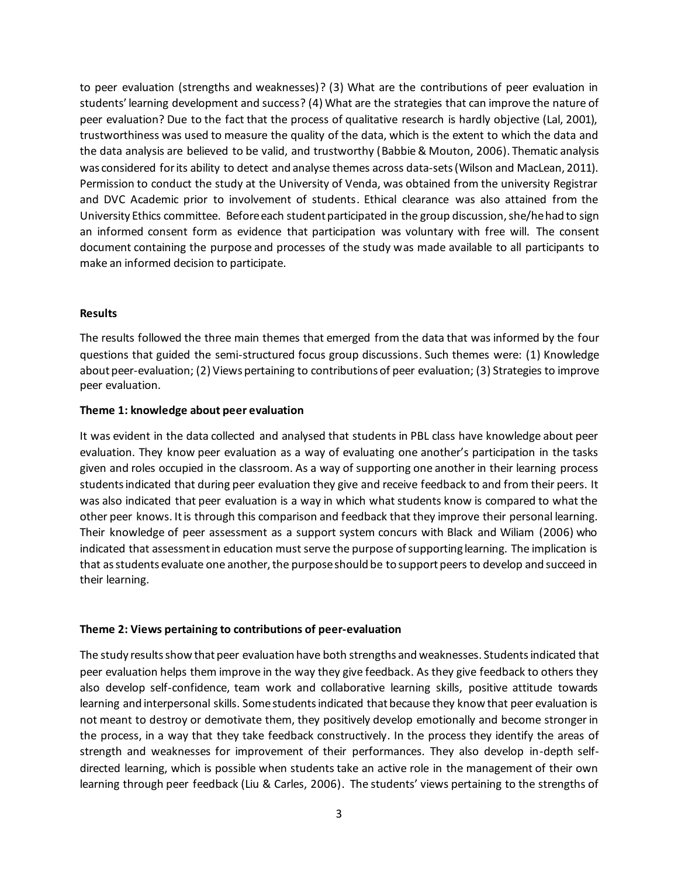to peer evaluation (strengths and weaknesses)? (3) What are the contributions of peer evaluation in students' learning development and success? (4) What are the strategies that can improve the nature of peer evaluation? Due to the fact that the process of qualitative research is hardly objective (Lal, 2001), trustworthiness was used to measure the quality of the data, which is the extent to which the data and the data analysis are believed to be valid, and trustworthy (Babbie & Mouton, 2006). Thematic analysis was considered for its ability to detect and analyse themes across data-sets(Wilson and MacLean, 2011). Permission to conduct the study at the University of Venda, was obtained from the university Registrar and DVC Academic prior to involvement of students. Ethical clearance was also attained from the University Ethics committee. Before each student participated in the group discussion, she/hehad to sign an informed consent form as evidence that participation was voluntary with free will. The consent document containing the purpose and processes of the study was made available to all participants to make an informed decision to participate.

### **Results**

The results followed the three main themes that emerged from the data that was informed by the four questions that guided the semi-structured focus group discussions. Such themes were: (1) Knowledge about peer-evaluation; (2) Views pertaining to contributions of peer evaluation; (3) Strategies to improve peer evaluation.

### **Theme 1: knowledge about peer evaluation**

It was evident in the data collected and analysed that students in PBL class have knowledge about peer evaluation. They know peer evaluation as a way of evaluating one another's participation in the tasks given and roles occupied in the classroom. As a way of supporting one another in their learning process students indicated that during peer evaluation they give and receive feedback to and from their peers. It was also indicated that peer evaluation is a way in which what students know is compared to what the other peer knows. It is through this comparison and feedback that they improve their personal learning. Their knowledge of peer assessment as a support system concurs with Black and Wiliam (2006) who indicated that assessment in education must serve the purpose of supporting learning. The implication is that as students evaluate one another, the purpose should be to support peers to develop and succeed in their learning.

#### **Theme 2: Views pertaining to contributions of peer-evaluation**

The study results show that peer evaluation have both strengths and weaknesses. Studentsindicated that peer evaluation helps them improve in the way they give feedback. As they give feedback to others they also develop self-confidence, team work and collaborative learning skills, positive attitude towards learning and interpersonal skills. Some students indicated that because they know that peer evaluation is not meant to destroy or demotivate them, they positively develop emotionally and become stronger in the process, in a way that they take feedback constructively. In the process they identify the areas of strength and weaknesses for improvement of their performances. They also develop in-depth selfdirected learning, which is possible when students take an active role in the management of their own learning through peer feedback (Liu & Carles, 2006). The students' views pertaining to the strengths of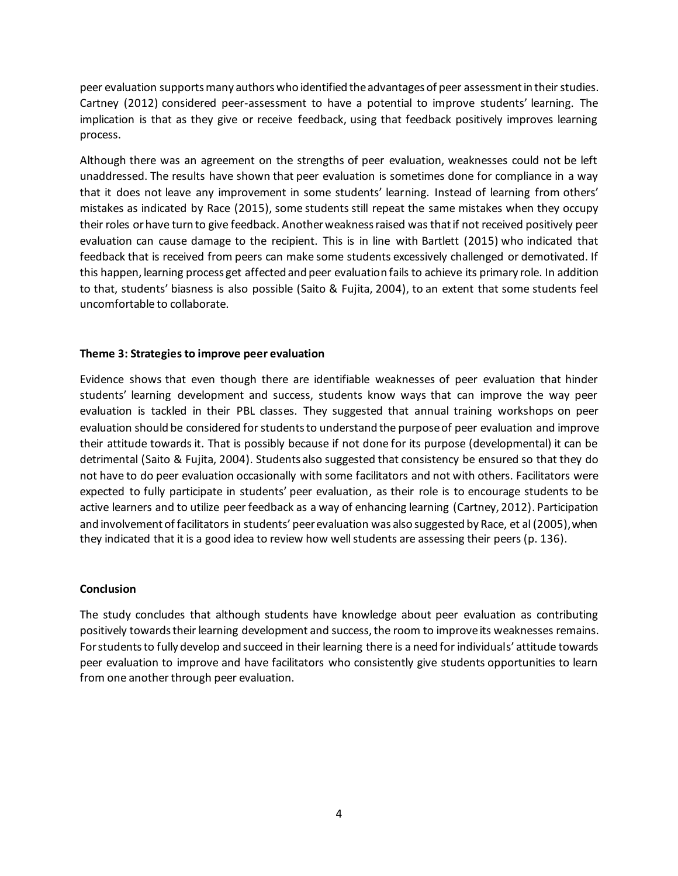peer evaluation supports many authors who identified the advantages of peer assessment in their studies. Cartney (2012) considered peer-assessment to have a potential to improve students' learning. The implication is that as they give or receive feedback, using that feedback positively improves learning process.

Although there was an agreement on the strengths of peer evaluation, weaknesses could not be left unaddressed. The results have shown that peer evaluation is sometimes done for compliance in a way that it does not leave any improvement in some students' learning. Instead of learning from others' mistakes as indicated by Race (2015), some students still repeat the same mistakes when they occupy their roles or have turn to give feedback. Another weakness raised was that if not received positively peer evaluation can cause damage to the recipient. This is in line with Bartlett (2015) who indicated that feedback that is received from peers can make some students excessively challenged or demotivated. If this happen, learning process get affected and peer evaluation fails to achieve its primary role. In addition to that, students' biasness is also possible (Saito & Fujita, 2004), to an extent that some students feel uncomfortable to collaborate.

## **Theme 3: Strategies to improve peer evaluation**

Evidence shows that even though there are identifiable weaknesses of peer evaluation that hinder students' learning development and success, students know ways that can improve the way peer evaluation is tackled in their PBL classes. They suggested that annual training workshops on peer evaluation should be considered for students to understand the purpose of peer evaluation and improve their attitude towards it. That is possibly because if not done for its purpose (developmental) it can be detrimental (Saito & Fujita, 2004). Students also suggested that consistency be ensured so that they do not have to do peer evaluation occasionally with some facilitators and not with others. Facilitators were expected to fully participate in students' peer evaluation, as their role is to encourage students to be active learners and to utilize peer feedback as a way of enhancing learning (Cartney, 2012). Participation and involvement of facilitators in students' peer evaluation was also suggested by Race, et al (2005), when they indicated that it is a good idea to review how well students are assessing their peers (p. 136).

#### **Conclusion**

The study concludes that although students have knowledge about peer evaluation as contributing positively towards their learning development and success, the room to improve its weaknesses remains. For students to fully develop and succeed in their learning there is a need for individuals' attitude towards peer evaluation to improve and have facilitators who consistently give students opportunities to learn from one another through peer evaluation.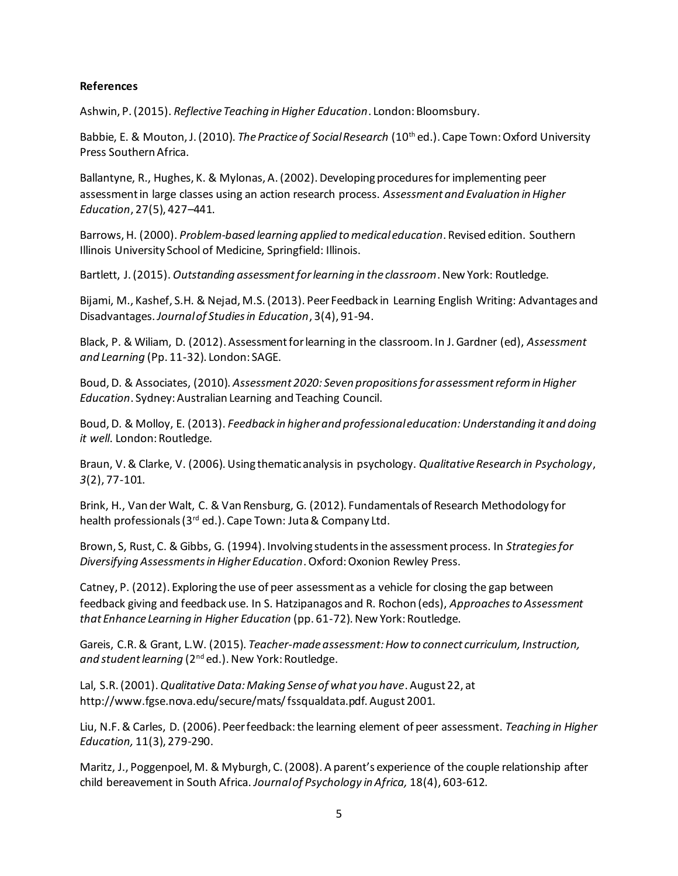## **References**

Ashwin, P. (2015). *Reflective Teaching in Higher Education*. London: Bloomsbury.

Babbie, E. & Mouton, J. (2010). *The Practice of Social Research* (10th ed.). Cape Town: Oxford University Press Southern Africa.

Ballantyne, R., Hughes, K. & Mylonas, A. (2002). Developing procedures for implementing peer assessment in large classes using an action research process. *Assessment and Evaluation in Higher Education*, 27(5), 427–441.

Barrows, H. (2000). *Problem-based learning applied to medical education*. Revised edition. Southern Illinois University School of Medicine, Springfield: Illinois.

Bartlett, J. (2015). *Outstanding assessment for learning in the classroom*. New York: Routledge.

Bijami, M., Kashef, S.H. & Nejad, M.S. (2013). Peer Feedback in Learning English Writing: Advantages and Disadvantages.*Journal of Studies in Education*, 3(4), 91-94.

Black, P. & Wiliam, D. (2012). Assessment for learning in the classroom. In J. Gardner (ed), *Assessment and Learning* (Pp. 11-32). London: SAGE.

Boud, D. & Associates, (2010). *Assessment 2020: Seven propositions for assessment reform in Higher Education*. Sydney: Australian Learning and Teaching Council.

Boud, D. & Molloy, E. (2013). *Feedback in higher and professional education: Understanding it and doing it well*. London: Routledge.

Braun, V. & Clarke, V. (2006). Using thematic analysis in psychology. *Qualitative Research in Psychology*, *3*(2), 77-101.

Brink, H., Van der Walt, C. & Van Rensburg, G. (2012). Fundamentals of Research Methodology for health professionals (3<sup>rd</sup> ed.). Cape Town: Juta & Company Ltd.

Brown, S, Rust, C. & Gibbs, G. (1994). Involving students in the assessment process. In *Strategies for Diversifying Assessments in Higher Education*. Oxford: Oxonion Rewley Press.

Catney, P. (2012). Exploring the use of peer assessment as a vehicle for closing the gap between feedback giving and feedback use. In S. Hatzipanagos and R. Rochon (eds), *Approaches to Assessment that Enhance Learning in Higher Education* (pp. 61-72). New York: Routledge.

Gareis, C.R. & Grant, L.W. (2015). *Teacher-made assessment: How to connect curriculum, Instruction,*  and student learning (2<sup>nd</sup> ed.). New York: Routledge.

Lal, S.R. (2001). *Qualitative Data: Making Sense of what you have*. August 22, at http://www.fgse.nova.edu/secure/mats/ fssqualdata.pdf. August 2001.

Liu, N.F. & Carles, D. (2006). Peer feedback: the learning element of peer assessment. *Teaching in Higher Education,* 11(3), 279-290.

Maritz, J., Poggenpoel, M. & Myburgh, C. (2008). A parent's experience of the couple relationship after child bereavement in South Africa. *Journal of Psychology in Africa,* 18(4), 603-612.